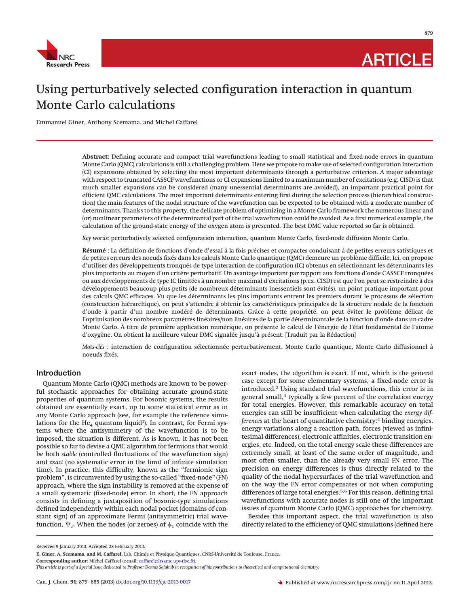

879

# Using perturbatively selected configuration interaction in quantum Monte Carlo calculations

Emmanuel Giner, Anthony Scemama, and Michel Caffarel

**Abstract:** Defining accurate and compact trial wavefunctions leading to small statistical and fixed-node errors in quantum Monte Carlo (QMC) calculations is still a challenging problem. Here we propose to make use of selected configuration interaction (CI) expansions obtained by selecting the most important determinants through a perturbative criterion. A major advantage with respect to truncated CASSCF wavefunctions or CI expansions limited to a maximum number of excitations (e.g, CISD) is that much smaller expansions can be considered (many unessential determinants are avoided), an important practical point for efficient QMC calculations. The most important determinants entering first during the selection process (hierarchical construction) the main features of the nodal structure of the wavefunction can be expected to be obtained with a moderate number of determinants. Thanks to this property, the delicate problem of optimizing in a Monte Carlo framework the numerous linear and (or) nonlinear parameters of the determinantal part of the trial wavefunction could be avoided. As a first numerical example, the calculation of the ground-state energy of the oxygen atom is presented. The best DMC value reported so far is obtained.

*Key words:* perturbatively selected configuration interaction, quantum Monte Carlo, fixed-node diffusion Monte Carlo.

**Résumé :** La définition de fonctions d'onde d'essai a` la fois précises et compactes conduisant a` de petites erreurs satistiques et de petites erreurs des noeuds fixés dans les calculs Monte Carlo quantique (QMC) demeure un problème difficile. Ici, on propose d'utiliser des développements tronqués de type interaction de configuration (IC) obtenus en sélectionnant les déterminants les plus importants au moyen d'un critère perturbatif. Un avantage important par rapport aux fonctions d'onde CASSCF tronquées ou aux développements de type IC limitées a` un nombre maximal d'excitations (p.ex. CISD) est que l'on peut se restreindre a` des développements beaucoup plus petits (de nombreux déterminants inessentiels sont évités), un point pratique important pour des calculs QMC efficaces. Vu que les déterminants les plus importants entrent les premiers durant le processus de sélection (construction hiérarchique), on peut s'attendre a` obtenir les caractéristiques principales de la structure nodale de la fonction d'onde a` partir d'un nombre modéré de déterminants. Grâce a` cette propriété, on peut éviter le problème délicat de l'optimisation des nombreux paramètres linéaires/non linéaires de la partie déterminantale de la fonction d'onde dans un cadre Monte Carlo. À titre de première application numérique, on présente le calcul de l'énergie de l'état fondamental de l'atome d'oxygène. On obtient la meilleure valeur DMC signalée jusqu'a` présent. [Traduit par la Rédaction]

*Mots-clés :* interaction de configuration sélectionnée perturbativement, Monte Carlo quantique, Monte Carlo diffusionnel a` noeuds fixés.

## **Introduction**

Quantum Monte Carlo (QMC) methods are known to be powerful stochastic approaches for obtaining accurate ground-state properties of quantum systems. For bosonic systems, the results obtained are essentially exact, up to some statistical error as in any Monte Carlo approach (see, for example the reference simulations for the  $He_4$  quantum liquid<sup>1</sup>). In contrast, for Fermi systems where the antisymmetry of the wavefunction is to be imposed, the situation is different. As is known, it has not been possible so far to devise a QMC algorithm for fermions that would be both *stable* (controlled fluctuations of the wavefunction sign) and *exact* (no systematic error in the limit of infinite simulation time). In practice, this difficulty, known as the "fermionic sign problem", is circumvented by using the so-called "fixed-node" (FN) approach, where the sign instability is removed at the expense of a small systematic (fixed-node) error. In short, the FN approach consists in defining a juxtaposition of bosonic-type simulations defined independently within each nodal pocket (domains of constant sign) of an approximate Fermi (antisymmetric) trial wavefunction,  $\Psi_T$ . When the nodes (or zeroes) of  $\psi_T$  coincide with the

exact nodes, the algorithm is exact. If not, which is the general case except for some elementary systems, a fixed-node error is introduced[.2](#page-6-1) Using standard trial wavefunctions, this error is in general small,<sup>3</sup> typically a few percent of the correlation energy for total energies. However, this remarkable accuracy on total energies can still be insufficient when calculating the *energy differences* at the heart of quantitative chemistry:<sup>4</sup> binding energies, energy variations along a reaction path, forces (viewed as infinitesimal differences), electronic affinities, electronic transition energies, etc. Indeed, on the total energy scale these differences are extremely small, at least of the same order of magnitude, and most often smaller, than the already very small FN error. The precision on energy differences is thus directly related to the quality of the nodal hypersurfaces of the trial wavefunction and on the way the FN error compensates or not when computing differences of large total energies.<sup>5,[6](#page-6-5)</sup> For this reason, defining trial wavefunctions with accurate nodes is still one of the important issues of quantum Monte Carlo (QMC) approaches for chemistry.

Besides this important aspect, the trial wavefunction is also directly related to the efficiency of QMC simulations (defined here

**E. Giner, A. Scemama, and M. Caffarel.** Lab. Chimie et Physique Quantiques, CNRS-Université de Toulouse, France.

**Corresponding author:** Michel Caffarel (e-mail: [caffarel@irsamc.ups-tlse.fr\)](mailto:caffarel@irsamc.ups-tlse.fr).

*This article is part of a Special Issue dedicated to Professor Dennis Salahub in recognition of his contributions to theoretical and computational chemistry.*

Received 9 January 2013. Accepted 28 February 2013.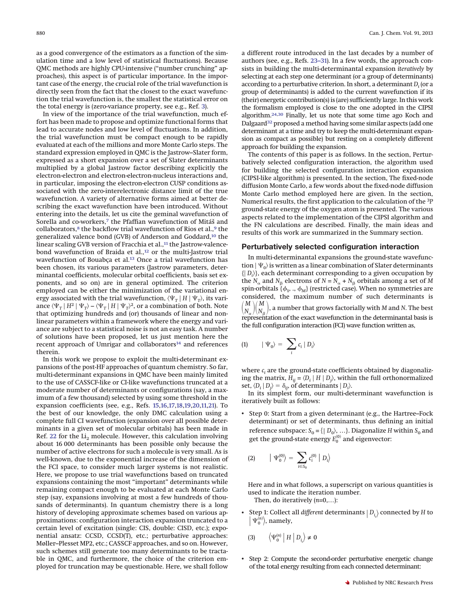<span id="page-1-0"></span>as a good convergence of the estimators as a function of the simulation time and a low level of statistical fluctuations). Because QMC methods are highly CPU-intensive ("number crunching" approaches), this aspect is of particular importance. In the important case of the energy, the crucial role of the trial wavefunction is directly seen from the fact that the closest to the exact wavefunction the trial wavefunction is, the smallest the statistical error on the total energy is (zero-variance property, see e.g., Ref. [3\)](#page-6-2).

In view of the importance of the trial wavefunction, much effort has been made to propose and optimize functional forms that lead to accurate nodes and low level of fluctuations. In addition, the trial wavefunction must be compact enough to be rapidly evaluated at each of the millions and more Monte Carlo steps. The standard expression employed in QMC is the Jastrow–Slater form, expressed as a short expansion over a set of Slater determinants multiplied by a global Jastrow factor describing explicitly the electron-electron and electron-electron-nucleus interactions and, in particular, imposing the electron-electron CUSP conditions associated with the zero-interelectronic distance limit of the true wavefunction. A variety of alternative forms aimed at better describing the exact wavefunction have been introduced. Without entering into the details, let us cite the geminal wavefunction of Sorella and co-workers,<sup>7</sup> the Pfaffian wavefunction of Mitáš and collaborators,<sup>8</sup> the backflow trial wavefunction of Rios et al.,<sup>9</sup> the generalized valence bond (GVB) of Anderson and Goddard,<sup>10</sup> the linear scaling GVB version of Fracchia et al.,<sup>11</sup> the Jastrow-valencebond wavefunction of Braida et al.,<sup>12</sup> or the multi-Jastrow trial wavefunction of Bouabça et al.<sup>13</sup> Once a trial wavefunction has been chosen, its various parameters (Jastrow parameters, determinantal coefficients, molecular orbital coefficients, basis set exponents, and so on) are in general optimized. The criterion employed can be either the minimization of the variational energy associated with the trial wavefunction,  $\langle \Psi^{}_T \, | \, H \, | \, \Psi^{}_T \rangle$ , its variance  $\langle \Psi_T | H^2 | \Psi_T \rangle - \langle \Psi_T | H | \Psi_T \rangle^2$ , or a combination of both. Note that optimizing hundreds and (or) thousands of linear and nonlinear parameters within a framework where the energy and variance are subject to a statistical noise is not an easy task. A number of solutions have been proposed, let us just mention here the recent approach of Umrigar and collaborators<sup>14</sup> and references therein.

In this work we propose to exploit the multi-determinant expansions of the post-HF approaches of quantum chemistry. So far, multi-determinant expansions in QMC have been mainly limited to the use of CASSCF-like or CI-like wavefunctions truncated at a moderate number of determinants or configurations (say, a maximum of a few thousand) selected by using some threshold in the expansion coefficients (see, e.g., Refs. [15,](#page-6-14)[16](#page-6-15)[,17](#page-6-16)[,18](#page-6-17)[,19](#page-6-18)[,20](#page-6-19)[,11,](#page-6-10)[21\)](#page-6-20). To the best of our knowledge, the only DMC calculation using a complete full CI wavefunction (expansion over all possible determinants in a given set of molecular orbitals) has been made in Ref. [22](#page-6-21) for the  $Li<sub>2</sub>$  molecule. However, this calculation involving about 16 000 determinants has been possible only because the number of active electrons for such a molecule is very small. As is well-known, due to the exponential increase of the dimension of the FCI space, to consider much larger systems is not realistic. Here, we propose to use trial wavefunctions based on truncated expansions containing the most "important" determinants while remaining compact enough to be evaluated at each Monte Carlo step (say, expansions involving at most a few hundreds of thousands of determinants). In quantum chemistry there is a long history of developing approximate schemes based on various approximations: configuration interaction expansion truncated to a certain level of excitation (single: CIS, double: CISD, etc.); exponential ansatz: CCSD, CCSD(T), etc.; perturbative approaches: Møller–Plesset MP2, etc.; CASSCF approaches, and so on. However, such schemes still generate too many determinants to be tractable in QMC, and furthermore, the choice of the criterion employed for truncation may be questionable. Here, we shall follow

a different route introduced in the last decades by a number of authors (see, e.g., Refs. [23](#page-6-22)[–](#page-6-23)[31\)](#page-6-24). In a few words, the approach consists in building the multi-determinantal expansion *iteratively* by selecting at each step one determinant (or a group of determinants) according to a perturbative criterion. In short, a determinant  $D_i$  (or a group of determinants) is added to the current wavefunction if its (their) energetic contribution(s) is (are) sufficiently large. In this work the formalism employed is close to the one adopted in the CIPSI algorithm[.24](#page-6-25)[,30](#page-6-23) Finally, let us note that some time ago Koch and Dalgaard<sup>32</sup> proposed a method having some similar aspects (add one determinant at a time and try to keep the multi-determinant expansion as compact as possible) but resting on a completely different approach for building the expansion.

The contents of this paper is as follows. In the section, Perturbatively selected configuration interaction, the algorithm used for building the selected configuration interaction expansion (CIPSI-like algorithm) is presented. In the section, The fixed-node diffusion Monte Carlo, a few words about the fixed-node diffusion Monte Carlo method employed here are given. In the section, Numerical results, the first application to the calculation of the <sup>3</sup>*P* ground-state energy of the oxygen atom is presented. The various aspects related to the implementation of the CIPSI algorithm and the FN calculations are described. Finally, the main ideas and results of this work are summarized in the Summary section.

#### **Perturbatively selected configuration interaction**

In multi-determinantal expansions the ground-state wavefunction  $|\Psi_{0}\rangle$  is written as a linear combination of Slater determinants  $\{|D_i\rangle\}$ , each determinant corresponding to a given occupation by the *N*<sub> $\alpha$ </sub> and *N*<sub> $\beta$ </sub> electrons of *N* = *N*<sub> $\alpha$ </sub> + *N*<sub> $\beta$ </sub> orbitals among a set of *M* spin-orbitals  $\{\phi_1, \ldots, \phi_M\}$  (restricted case). When no symmetries are considered, the maximum number of such determinants is  $\binom{M}{N}$  $\binom{M}{N_{\alpha}} \binom{M}{N_{\beta}}$  $\binom{M}{N_\beta}$ , a number that grows factorially with *M* and *N*. The best representation of the exact wavefunction in the determinantal basis is the full configuration interaction (FCI) wave function written as,

$$
(1) \qquad |\Psi_0\rangle = \sum_i c_i |D_i\rangle
$$

where  $c_i$  are the ground-state coefficients obtained by diagonalizing the matrix,  $H_{ij} = \langle D_i | H | D_j \rangle$ , within the full orthonormalized set,  $\langle D_i | D_j \rangle = \delta_{ij}$ , of determinants  $| D_i \rangle$ .

In its simplest form, our multi-determinant wavefunction is iteratively built as follows:

• Step 0: Start from a given determinant (e.g., the Hartree–Fock determinant) or set of determinants, thus defining an initial reference subspace:  $S_0 = \{ | D_0 \rangle, ... \}$ . Diagonalize *H* within  $S_0$  and get the ground-state energy  $E_0^{(0)}$  and eigenvector:

$$
(2) \qquad \left|\right. \Psi^{(0)}_{0} \right\rangle = \sum_{i \in S_{0}} c^{(0)}_{i} \left|\right. D_{i} \right\rangle
$$

Here and in what follows, a superscript on various quantities is used to indicate the iteration number.

Then, do iteratively (*n*=0,…):

• Step 1: Collect all *different* determinants  $\left| D_{i} \right\rangle$  connected by *H* to  $| \Psi^{(n)}_0 \rangle$ , namely,

$$
(3) \qquad \left\langle \Psi_0^{(n)} \middle| H \middle| D_{i_c} \right\rangle \neq 0
$$

• Step 2: Compute the second-order perturbative energetic change of the total energy resulting from each connected determinant: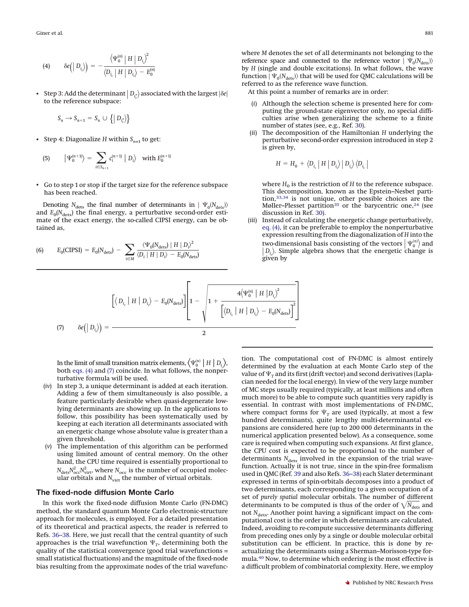$$
(4) \qquad \delta e\Big(\big|\;D_{i_{c}}\Big)\Big)\,=\,-\frac{\left\langle \Psi_{0}^{(n)}\;\big|\;H\;\big|\;D_{i_{c}}\right\rangle ^{2}}{\left\langle D_{i_{c}}\;\big|\;H\;\big|\;D_{i_{c}}\right\rangle\,-\,E_{0}^{(n)}}
$$

• Step 3: Add the determinant  $|D_{i_c^*}|$  associated with the largest  $|\delta e|$ to the reference subspace:

$$
S_n \to S_{n+1} = S_n \cup \{ | D_{i_c^*} \rangle \}
$$

• Step 4: Diagonalize *H* within  $S_{n+1}$  to get:

(5) 
$$
\left| \Psi_0^{(n+1)} \right\rangle = \sum_{i \in S_{n+1}} c_i^{(n+1)} \left| D_i \right\rangle \text{ with } E_0^{(n+1)}
$$

• Go to step 1 or stop if the target size for the reference subspace has been reached.

Denoting  $N_{\text{dets}}$  the final number of determinants in  $| \Psi_0(N_{\text{det}}) \rangle$ and  $E_0(N_{\text{dest}})$  the final energy, a perturbative second-order estimate of the exact energy, the so-called CIPSI energy, can be obtained as,

(6) 
$$
E_0(CIPSI) = E_0(N_{\text{det}s}) - \sum_{i \in M} \frac{\langle \Psi_0(N_{\text{det}s}) \mid H \mid D_i \rangle^2}{\langle D_i \mid H \mid D_i \rangle - E_0(N_{\text{det}s})}
$$

where *M* denotes the set of all determinants not belonging to the reference space and connected to the reference vector  $| \Psi_0(N_{\text{ders}}) \rangle$ by *H* (single and double excitations). In what follows, the wave function  $|\Psi_0(N_{\text{ders}})\rangle$  that will be used for QMC calculations will be referred to as the reference wave function.

At this point a number of remarks are in order:

- (*i*) Although the selection scheme is presented here for computing the ground-state eigenvector only, no special difficulties arise when generalizing the scheme to a finite number of states (see, e.g., Ref. [30\)](#page-6-23).
- (*ii*) The decomposition of the Hamiltonian *H* underlying the perturbative second-order expression introduced in step 2 is given by,

$$
H = H_0 + \langle D_{i_c} | H | D_{i_c} \rangle | D_{i_c} \rangle \langle D_{i_c} |
$$

where  $H_0$  is the restriction of  $H$  to the reference subspace. This decomposition, known as the Epstein–Nesbet partition[,33,](#page-6-27)[34](#page-6-28) is not unique, other possible choices are the Møller–Plesset partition<sup>35</sup> or the barycentric one,<sup>24</sup> (see discussion in Ref. [30\)](#page-6-23).

(*iii*) Instead of calculating the energetic change perturbatively, [eq. \(4\),](#page-1-0) it can be preferable to employ the nonperturbative expression resulting from the diagonalization of *H* into the two-dimensional basis consisting of the vectors  $\big| \operatorname{\Psi_{0}^{(n)}} \big\rangle$  and  $|D_{i}\rangle$ . Simple algebra shows that the energetic change is *c* given by

(7) 
$$
\left[ \langle D_{i_c} | H | D_{i_c} \rangle - E_0(N_{\text{dets}}) \right] \left[ 1 - \sqrt{1 + \frac{4 \langle \Psi_0^{(n)} | H | D_{i_c} \rangle^2}{\left[ \langle D_{i_c} | H | D_{i_c} \rangle - E_0(N_{\text{dets}}) \right]^2}} \right]
$$
  
(7) 
$$
\delta e(|D_{i_c} \rangle) = \frac{2}{\sqrt{1 + \frac{4 \langle \Psi_0^{(n)} | H | D_{i_c} \rangle^2}{\left[ \langle D_{i_c} | D_{i_c} \rangle - E_0(N_{\text{dets}}) \right]^2}}}
$$

<span id="page-2-0"></span>In the limit of small transition matrix elements,  $\langle \Psi_0^{(n)} | H | D_i \rangle$ , both [eqs. \(4\)](#page-1-0) and [\(7\)](#page-2-0) coincide. In what follows, the nonperturbative formula will be used.

- (*iv*) In step 3, a unique determinant is added at each iteration. Adding a few of them simultaneously is also possible, a feature particularly desirable when quasi-degenerate lowlying determinants are showing up. In the applications to follow, this possibility has been systematically used by keeping at each iteration all determinants associated with an energetic change whose absolute value is greater than a given threshold.
- (*v*) The implementation of this algorithm can be performed using limited amount of central memory. On the other hand, the CPU time required is essentially proportional to  $N_{\text{dets}}N_{\text{occ}}^2N_{\text{virt}}^2$ , where  $N_{\text{occ}}$  is the number of occupied molecular orbitals and *N*<sub>virt</sub> the number of virtual orbitals.

## **The fixed-node diffusion Monte Carlo**

In this work the fixed-node diffusion Monte Carlo (FN-DMC) method, the standard quantum Monte Carlo electronic-structure approach for molecules, is employed. For a detailed presentation of its theoretical and practical aspects, the reader is referred to Refs. [36](#page-6-30)[–](#page-6-31)[38.](#page-6-32) Here, we just recall that the central quantity of such approaches is the trial wavefunction  $\Psi_T$ , determining both the quality of the statistical convergence (good trial wavefunctions = small statistical fluctuations) and the magnitude of the fixed-node bias resulting from the approximate nodes of the trial wavefunction. The computational cost of FN-DMC is almost entirely determined by the evaluation at each Monte Carlo step of the value of  $\Psi$ <sub>r</sub> and its first (drift vector) and second derivatives (Laplacian needed for the local energy). In view of the very large number of MC steps usually required (typically, at least millions and often much more) to be able to compute such quantities very rapidly is essential. In contrast with most implementations of FN-DMC, where compact forms for  $\Psi_T$  are used (typically, at most a few hundred determinants), quite lengthy multi-determinantal expansions are considered here (up to 200 000 determinants in the numerical application presented below). As a consequence, some care is required when computing such expansions. At first glance, the CPU cost is expected to be proportional to the number of determinants  $N_{\text{dets}}$  involved in the expansion of the trial wavefunction. Actually it is not true, since in the spin-free formalism used in QMC (Ref. [39](#page-6-33) and also Refs. [36](#page-6-30)[–](#page-6-31)[38\)](#page-6-32) each Slater determinant expressed in terms of spin-orbitals decomposes into a product of two determinants, each corresponding to a given occupation of a set of *purely spatial* molecular orbitals. The number of different determinants to be computed is thus of the order of  $\sqrt{N_{\text{dets}}}$  and not *N*<sub>dets</sub>. Another point having a significant impact on the computational cost is the order in which determinants are calculated. Indeed, avoiding to re-compute successive determinants differing from preceding ones only by a single or double molecular orbital substitution can be efficient. In practice, this is done by reactualizing the determinants using a Sherman–Morisson-type formula[.40](#page-6-34) Now, to determine which ordering is the most effective is a difficult problem of combinatorial complexity. Here, we employ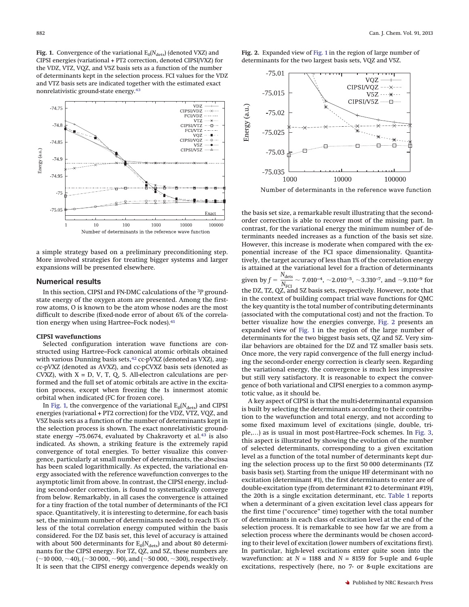<span id="page-3-0"></span>**Fig. 1.** Convergence of the variational  $E_0(N_{\text{dets}})$  (denoted VXZ) and CIPSI energies (variational + PT2 correction, denoted CIPSI/VXZ) for the VDZ, VTZ, VQZ, and V5Z basis sets as a function of the number of determinants kept in the selection process. FCI values for the VDZ and VTZ basis sets are indicated together with the estimated exact nonrelativistic ground-state energy[.43](#page-6-37)



a simple strategy based on a preliminary preconditioning step. More involved strategies for treating bigger systems and larger expansions will be presented elsewhere.

# **Numerical results**

In this section, CIPSI and FN-DMC calculations of the <sup>3</sup>*P* groundstate energy of the oxygen atom are presented. Among the firstrow atoms, O is known to be the atom whose nodes are the most difficult to describe (fixed-node error of about 6% of the correlation energy when using Hartree–Fock nodes).<sup>41</sup>

#### **CIPSI wavefunctions**

Selected configuration interation wave functions are constructed using Hartree–Fock canonical atomic orbitals obtained with various Dunning basis sets, $42$  cc-pVXZ (denoted as VXZ), augcc-pVXZ (denoted as AVXZ), and cc-pCVXZ basis sets (denoted as CVXZ), with  $X = D$ , V, T, Q, 5. All-electron calculations are performed and the full set of atomic orbitals are active in the excitation process, except when freezing the 1s innermost atomic orbital when indicated (FC for frozen core).

In [Fig. 1,](#page-3-0) the convergence of the variational  $E_0(N_{\text{dest}})$  and CIPSI energies (variational + PT2 correction) for the VDZ, VTZ, VQZ, and V5Z basis sets as a function of the number of determinants kept in the selection process is shown. The exact nonrelativistic groundstate energy  $-75.0674$ , evaluated by Chakravorty et al.<sup>43</sup> is also indicated. As shown, a striking feature is the extremely rapid convergence of total energies. To better visualize this convergence, particularly at small number of determinants, the abscissa has been scaled logarithmically. As expected, the variational energy associated with the reference wavefunction converges to the asymptotic limit from above. In contrast, the CIPSI energy, including second-order correction, is found to systematically converge from below. Remarkably, in all cases the convergence is attained for a tiny fraction of the total number of determinants of the FCI space. Quantitatively, it is interesting to determine, for each basis set, the minimum number of determinants needed to reach 1% or less of the total correlation energy computed within the basis considered. For the DZ basis set, this level of accuracy is attained with about 500 determinants for  $E_0(N_{\text{det}s})$  and about 80 determinants for the CIPSI energy. For TZ, QZ, and 5Z, these numbers are  $(\sim$  10 000,  $\sim$  40), ( $\sim$  30 000,  $\sim$  90), and ( $\sim$  50 000,  $\sim$  300), respectively. It is seen that the CIPSI energy convergence depends weakly on

<span id="page-3-1"></span>**Fig. 2.** Expanded view of [Fig. 1](#page-3-0) in the region of large number of determinants for the two largest basis sets, VQZ and V5Z.



Number of determinants in the reference wave function

the basis set size, a remarkable result illustrating that the secondorder correction is able to recover most of the missing part. In contrast, for the variational energy the minimum number of determinants needed increases as a function of the basis set size. However, this increase is moderate when compared with the exponential increase of the FCI space dimensionality. Quantitatively, the target accuracy of less than 1% of the correlation energy is attained at the variational level for a fraction of determinants given by  $f =$  $N_{\rm FCI}$  $\frac{N_{\text{dests}}}{N}$  ~ 7.010<sup>-4</sup>, ~2.010<sup>-5</sup>, ~3.310<sup>-7</sup>, and ~9.110<sup>-9</sup> for the DZ, TZ, QZ, and 5Z basis sets, respectively. However, note that in the context of building compact trial wave functions for QMC the key quantity is the total number of contributing determinants (associated with the computational cost) and not the fraction. To better visualize how the energies converge, [Fig. 2](#page-3-1) presents an expanded view of [Fig. 1](#page-3-0) in the region of the large number of determinants for the two biggest basis sets, QZ and 5Z. Very similar behaviors are obtained for the DZ and TZ smaller basis sets. Once more, the very rapid convergence of the full energy including the second-order energy correction is clearly seen. Regarding the variational energy, the convergence is much less impressive but still very satisfactory. It is reasonable to expect the convergence of both variational and CIPSI energies to a common asymptotic value, as it should be.

A key aspect of CIPSI is that the multi-determinantal expansion is built by selecting the determinants according to their contribution to the wavefunction and total energy, and not according to some fixed maximum level of excitations (single, double, triple,…) as is usual in most post-Hartree–Fock schemes. In [Fig. 3,](#page-4-0) this aspect is illustrated by showing the evolution of the number of selected determinants, corresponding to a given excitation level as a function of the total number of determinants kept during the selection process up to the first 50 000 determinants (TZ basis basis set). Starting from the unique HF determinant with no excitation (determinant #1), the first determinants to enter are of double-excitation type (from determinant #2 to determinant #19), the 20th is a single excitation determinant, etc. [Table 1](#page-4-1) reports when a determinant of a given excitation level class appears for the first time ("occurence" time) together with the total number of determinants in each class of excitation level at the end of the selection process. It is remarkable to see how far we are from a selection process where the derminants would be chosen according to their level of excitation (lower numbers of excitations first). In particular, high-level excitations enter quite soon into the wavefunction: at  $N = 1188$  and  $N = 8159$  for 5-uple and 6-uple excitations, respectively (here, no 7- or 8-uple excitations are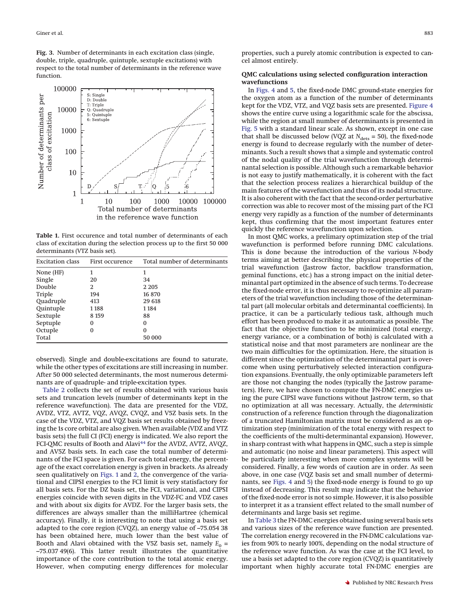<span id="page-4-0"></span>**Fig. 3.** Number of determinants in each excitation class (single, double, triple, quadruple, quintuple, sextuple excitations) with respect to the total number of determinants in the reference wave function.



<span id="page-4-1"></span>**Table 1.** First occurence and total number of determinants of each class of excitation during the selection process up to the first 50 000 determinants (VTZ basis set).

| <b>Excitation class</b> | First occurence | Total number of determinants |
|-------------------------|-----------------|------------------------------|
| None (HF)               |                 | 1                            |
| Single                  | 20              | 34                           |
| Double                  | 2               | 2 2 0 5                      |
| Triple                  | 194             | 16 870                       |
| Quadruple               | 413             | 29 618                       |
| Quintuple               | 1188            | 1184                         |
| Sextuple                | 8 1 5 9         | 88                           |
| Septuple                | 0               | 0                            |
| Octuple                 | 0               | 0                            |
| Total                   |                 | 50 000                       |

observed). Single and double-excitations are found to saturate, while the other types of excitations are still increasing in number. After 50 000 selected determinants, the most numerous determinants are of quadruple- and triple-excitation types.

[Table 2](#page-5-0) collects the set of results obtained with various basis sets and truncation levels (number of determinants kept in the reference wavefunction). The data are presented for the VDZ, AVDZ, VTZ, AVTZ, VQZ, AVQZ, CVQZ, and V5Z basis sets. In the case of the VDZ, VTZ, and VQZ basis set results obtained by freezing the 1s core orbital are also given. When available (VDZ and VTZ basis sets) the full CI (FCI) energy is indicated. We also report the FCI-QMC results of Booth and Alavi<sup>44</sup> for the AVDZ, AVTZ, AVQZ, and AV5Z basis sets. In each case the total number of determinants of the FCI space is given. For each total energy, the percentage of the exact correlation energy is given in brackets. As already seen qualitatively on [Figs. 1](#page-3-0) and [2,](#page-3-1) the convergence of the variational and CIPSI energies to the FCI limit is very statisfactory for all basis sets. For the DZ basis set, the FCI, variational, and CIPSI energies coincide with seven digits in the VDZ-FC and VDZ cases and with about six digits for AVDZ. For the larger basis sets, the differences are always smaller than the milliHartree (chemical accuracy). Finally, it is interesting to note that using a basis set adapted to the core region (CVQZ), an energy value of –75.054 38 has been obtained here, much lower than the best value of Booth and Alavi obtained with the V5Z basis set, namely  $E_0 =$ –75.037 49(6). This latter result illustrates the quantitative importance of the core contribution to the total atomic energy. However, when computing energy differences for molecular

properties, such a purely atomic contribution is expected to cancel almost entirely.

## **QMC calculations using selected configuration interaction wavefunctions**

In [Figs. 4](#page-5-1) and [5,](#page-5-2) the fixed-node DMC ground-state energies for the oxygen atom as a function of the number of determinants kept for the VDZ, VTZ, and VQZ basis sets are presented. [Figure 4](#page-5-1) shows the entire curve using a logarithmic scale for the abscissa, while the region at small number of determinants is presented in [Fig. 5](#page-5-2) with a standard linear scale. As shown, except in one case that shall be discussed below (VQZ at  $N_{\text{dets}} = 50$ ), the fixed-node energy is found to decrease regularly with the number of determinants. Such a result shows that a simple and systematic control of the nodal quality of the trial wavefunction through determinantal selection is possible. Although such a remarkable behavior is not easy to justify mathematically, it is coherent with the fact that the selection process realizes a hierarchical buildup of the main features of the wavefunction and thus of its nodal structure. It is also coherent with the fact that the second-order perturbative correction was able to recover most of the missing part of the FCI energy very rapidly as a function of the number of determinants kept, thus confirming that the most important features enter quickly the reference wavefunction upon selection.

In most QMC works, a prelimary optimization step of the trial wavefunction is performed before running DMC calculations. This is done because the introduction of the various *N*-body terms aiming at better describing the physical properties of the trial wavefunction (Jastrow factor, backflow transformation, geminal functions, etc.) has a strong impact on the initial determinantal part optimized in the absence of such terms. To decrease the fixed-node error, it is thus necessary to re-optimize all parameters of the trial wavefunction including those of the determinantal part (all molecular orbitals and determinantal coefficients). In practice, it can be a particularly tedious task, although much effort has been produced to make it as automatic as possible. The fact that the objective function to be minimized (total energy, energy variance, or a combination of both) is calculated with a statistical noise and that most parameters are nonlinear are the two main difficulties for the optimization. Here, the situation is different since the optimization of the determinantal part is overcome when using perturbatively selected interaction configuration expansions. Eventually, the only optimizable parameters left are those not changing the nodes (typically the Jastrow parameters). Here, we have chosen to compute the FN-DMC energies using the pure CIPSI wave functions without Jastrow term, so that no optimization at all was necessary. Actually, the *deterministic* construction of a reference function through the diagonalization of a truncated Hamiltonian matrix must be considered as an optimization step (minimization of the total energy with respect to the coefficients of the multi-determinantal expansion). However, in sharp contrast with what happens in QMC, such a step is simple and automatic (no noise and linear parameters). This aspect will be particularly interesting when more complex systems will be considered. Finally, a few words of caution are in order. As seen above, in one case (VQZ basis set and small number of determinants, see [Figs. 4](#page-5-1) and [5\)](#page-5-2) the fixed-node energy is found to go up instead of decreasing. This result may indicate that the behavior of the fixed-node error is not so simple. However, it is also possible to interpret it as a transient effect related to the small number of determinants and large basis set regime.

In [Table 3](#page-5-3) the FN-DMC energies obtained using several basis sets and various sizes of the reference wave function are presented. The correlation energy recovered in the FN-DMC calculations varies from 90% to nearly 100%, depending on the nodal structure of the reference wave function. As was the case at the FCI level, to use a basis set adapted to the core region (CVQZ) is quantitatively important when highly accurate total FN-DMC energies are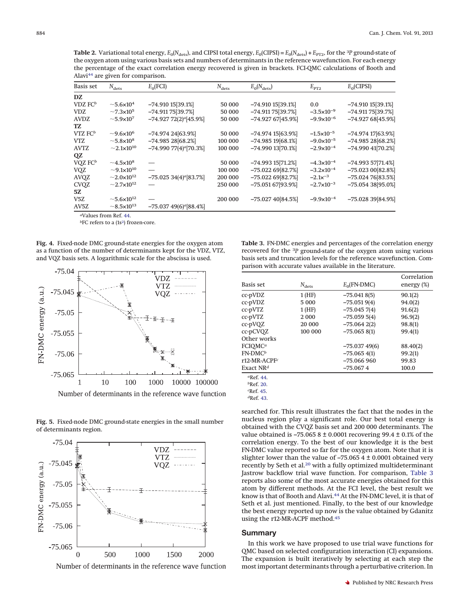<span id="page-5-0"></span>**Table 2.** Variational total energy,  $E_0(N_{\text{dest}})$ , and CIPSI total energy,  $E_0(CIPSI) = E_0(N_{\text{dest}}) + E_{PT2}$ , for the <sup>3</sup>*P* ground-state of the oxygen atom using various basis sets and numbers of determinants in the reference wavefunction. For each energy the percentage of the exact correlation energy recovered is given in brackets. FCI-QMC calculations of Booth and Alavi<sup>44</sup> are given for comparison.

| <b>Basis set</b>      | $N_{\text{dets}}$           | $E_0(FCI)$                | $N_{\text{dets}}$ | $E_0(N_{\text{dets}})$ | $E_{PT2}$             | $E_0$ (CIPSI)       |
|-----------------------|-----------------------------|---------------------------|-------------------|------------------------|-----------------------|---------------------|
| DZ.                   |                             |                           |                   |                        |                       |                     |
| VDZ F $C^b$           | $\sim$ 5.6×10 <sup>4</sup>  | $-74.910$ 15[39.1%]       | 50 000            | $-74.910$ 15[39.1%]    | 0.0                   | $-74.910$ 15[39.1%] |
| VDZ                   | $\sim$ 7.3×10 <sup>5</sup>  | $-74.91175[39.7%]$        | 50 000            | $-74.91175[39.7%]$     | $-3.5 \times 10^{-9}$ | $-74.91175[39.7%]$  |
| AVDZ                  | $~10^{7}$                   | $-74.92772(2)^{a}[45.9%]$ | 50 000            | $-74.92767[45.9%]$     | $-9.9 \times 10^{-6}$ | $-74.92768[45.9%]$  |
| TZ                    |                             |                           |                   |                        |                       |                     |
| VTZ FC $^b$           | $\sim$ 9.6×10 <sup>6</sup>  | $-74.9742463.9%$          | 50 000            | $-74.9741563.9%$       | $-1.5 \times 10^{-5}$ | $-74.974$ 17[63.9%] |
| VTZ                   | $\sim$ 5.8×10 <sup>8</sup>  | $-74.9852868.2%$          | 100 000           | $-74.9851968.1%$       | $-9.0 \times 10^{-5}$ | $-74.98528[68.2%]$  |
| AVTZ                  | $\sim$ 2.1×10 <sup>10</sup> | $-74.99077(4)^{a}[70.3%]$ | 100 000           | $-74.99013[70.1%]$     | $-2.9 \times 10^{-4}$ | $-74.99041[70.2%]$  |
| QZ                    |                             |                           |                   |                        |                       |                     |
| $VQZ$ FC <sup>b</sup> | $~1.5 \times 10^8$          |                           | 50 000            | $-74.99315[71.2%]$     | $-4.3 \times 10^{-4}$ | $-74.9935771.4%$    |
| VOZ                   | ${\sim}9.1{\times}10^{10}$  |                           | 100 000           | $-75.02269[82.7%]$     | $-3.2 \times 10^{-4}$ | $-75.02300[82.8%]$  |
| AVQZ                  | ${\sim}2.0{\times}10^{12}$  | $-75.02534(4)^{a}[83.7%]$ | 200 000           | $-75.02269[82.7%]$     | $-2.1x^{-3}$          | $-75.02476[83.5%]$  |
| CVQZ                  | ${\sim}2.7{\times}10^{12}$  |                           | 250 000           | $-75.0516793.9%$       | $-2.7 \times 10^{-3}$ | $-75.05438[95.0%]$  |
| 5Ζ                    |                             |                           |                   |                        |                       |                     |
| V5Z                   | ${\sim}5.6{\times}10^{12}$  |                           | 200 000           | $-75.02740[84.5%]$     | $-9.9 \times 10^{-4}$ | $-75.02839[84.9%]$  |
| AV5Z                  | $\sim$ 8.5×10 <sup>13</sup> | $-75.03749(6)^{a}[88.4%]$ |                   |                        |                       |                     |
|                       |                             |                           |                   |                        |                       |                     |

*a*Values from Ref. [44.](#page-6-38)

*b*FC refers to a (1s<sup>2</sup>) frozen-core.

<span id="page-5-1"></span>**Fig. 4.** Fixed-node DMC ground-state energies for the oxygen atom as a function of the number of determinants kept for the VDZ, VTZ, and VQZ basis sets. A logarithmic scale for the abscissa is used.



Number of determinants in the reference wave function

<span id="page-5-2"></span>**Fig. 5.** Fixed-node DMC ground-state energies in the small number of determinants region.



Number of determinants in the reference wave function

<span id="page-5-3"></span>**Table 3.** FN-DMC energies and percentages of the correlation energy recovered for the <sup>3</sup>*P* ground-state of the oxygen atom using various basis sets and truncation levels for the reference wavefunction. Comparison with accurate values available in the literature.

| Basis set             | $N_{\rm{dets}}$ | $E_0$ (FN-DMC) | Correlation<br>energy (%) |
|-----------------------|-----------------|----------------|---------------------------|
| cc-pVDZ               | $1$ (HF)        | $-75.0418(5)$  | 90.1(2)                   |
| cc-pVDZ               | 5 0 0 0         | $-75.0519(4)$  | 94.0(2)                   |
| cc-pVTZ               | $1$ (HF)        | $-75.0457(4)$  | 91.6(2)                   |
| cc-pVTZ               | 2000            | $-75.0595(4)$  | 96.9(2)                   |
| cc-pVQZ               | 20 000          | $-75.0642(2)$  | 98.8(1)                   |
| cc-pCVQZ              | 100 000         | $-75.0658(1)$  | 99.4(1)                   |
| Other works           |                 |                |                           |
| FCIQMC <sup>a</sup>   |                 | $-75.03749(6)$ | 88.40(2)                  |
| $FN-DMC^b$            |                 | $-75.0654(1)$  | 99.2(1)                   |
| r12-MR-ACPF $^c$      |                 | $-75.066960$   | 99.83                     |
| Exact NR <sup>d</sup> |                 | $-75.0674$     | 100.0                     |
| ${}^a$ Ref. 44.       |                 |                |                           |

*b*Ref. [20.](#page-6-19)

*c* Ref. [45.](#page-6-39)

*d*Ref. [43.](#page-6-37)

searched for. This result illustrates the fact that the nodes in the nucleus region play a significant role. Our best total energy is obtained with the CVQZ basis set and 200 000 determinants. The value obtained is –75.065 8 ± 0.0001 recovering 99.4 ± 0.1% of the correlation energy. To the best of our knowledge it is the best FN-DMC value reported so far for the oxygen atom. Note that it is slighter lower than the value of –75.065 4 ± 0.0001 obtained very recently by Seth et al[.20](#page-6-19) with a fully optimized multideterminant Jastrow backflow trial wave function. For comparison, [Table 3](#page-5-3) reports also some of the most accurate energies obtained for this atom by different methods. At the FCI level, the best result we know is that of Booth and Alavi[.44](#page-6-38) At the FN-DMC level, it is that of Seth et al. just mentioned. Finally, to the best of our knowledge the best energy reported up now is the value obtained by Gdanitz using the r12-MR-ACPF method[.45](#page-6-39)

### **Summary**

In this work we have proposed to use trial wave functions for QMC based on selected configuration interaction (CI) expansions. The expansion is built iteratively by selecting at each step the most important determinants through a perturbative criterion. In